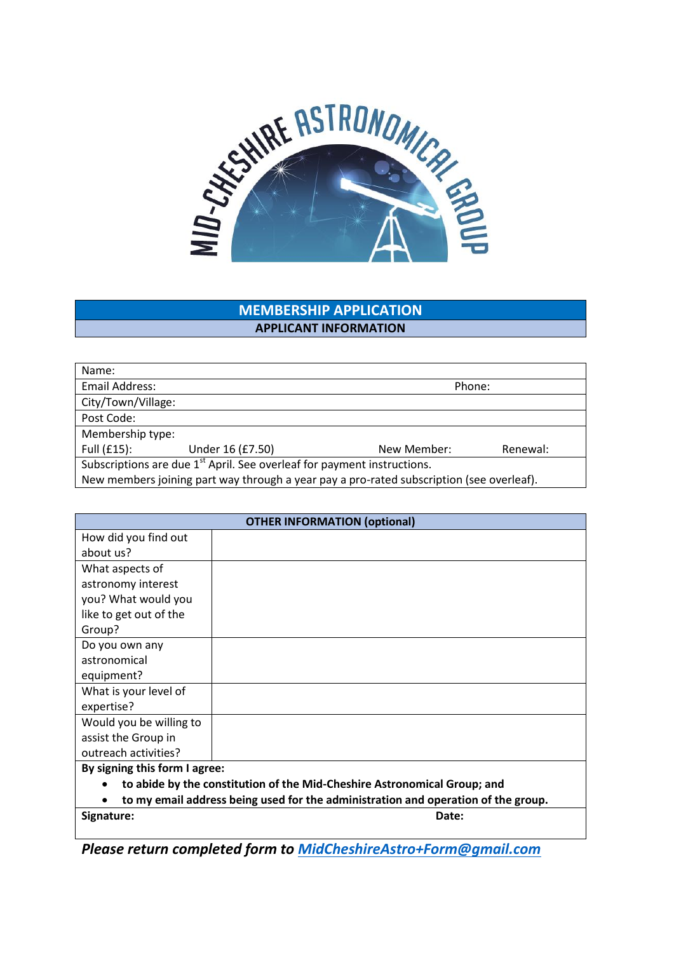

# **MEMBERSHIP APPLICATION APPLICANT INFORMATION**

| Name:                                                                                    |                  |             |          |  |
|------------------------------------------------------------------------------------------|------------------|-------------|----------|--|
| Email Address:                                                                           | Phone:           |             |          |  |
| City/Town/Village:                                                                       |                  |             |          |  |
| Post Code:                                                                               |                  |             |          |  |
| Membership type:                                                                         |                  |             |          |  |
| Full $(f15)$ :                                                                           | Under 16 (£7.50) | New Member: | Renewal: |  |
| Subscriptions are due 1 <sup>st</sup> April. See overleaf for payment instructions.      |                  |             |          |  |
| New members joining part way through a year pay a pro-rated subscription (see overleaf). |                  |             |          |  |

| <b>OTHER INFORMATION (optional)</b>                                                   |       |  |  |
|---------------------------------------------------------------------------------------|-------|--|--|
| How did you find out                                                                  |       |  |  |
| about us?                                                                             |       |  |  |
| What aspects of                                                                       |       |  |  |
| astronomy interest                                                                    |       |  |  |
| you? What would you                                                                   |       |  |  |
| like to get out of the                                                                |       |  |  |
| Group?                                                                                |       |  |  |
| Do you own any                                                                        |       |  |  |
| astronomical                                                                          |       |  |  |
| equipment?                                                                            |       |  |  |
| What is your level of                                                                 |       |  |  |
| expertise?                                                                            |       |  |  |
| Would you be willing to                                                               |       |  |  |
| assist the Group in                                                                   |       |  |  |
| outreach activities?                                                                  |       |  |  |
| By signing this form I agree:                                                         |       |  |  |
| to abide by the constitution of the Mid-Cheshire Astronomical Group; and<br>$\bullet$ |       |  |  |
| to my email address being used for the administration and operation of the group.     |       |  |  |
| Signature:                                                                            | Date: |  |  |

*Please return completed form to [MidCheshireAstro+Form@gmail.com](mailto:MidCheshireAstro+Form@gmail.com)*